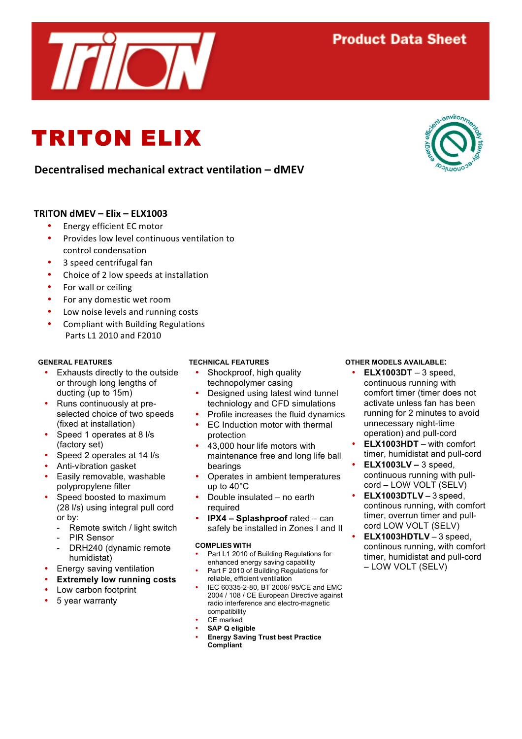# **Decentralised!mechanical!extract!ventilation!– dMEV**

### **TRITON!dMEV!– Elix!– ELX1003**

Energy efficient EC motor

TRITON ELIX

- Provides low level continuous ventilation to control condensation
- 3 speed centrifugal fan
- Choice of 2 low speeds at installation
- For wall or ceiling
- For any domestic wet room
- Low noise levels and running costs
- Compliant with Building Regulations Parts 11 2010 and F2010

#### **GENERAL FEATURES**

- Exhausts directly to the outside or through long lengths of ducting (up to 15m)
- Runs continuously at preselected choice of two speeds (fixed at installation)
- Speed 1 operates at 8 l/s (factory set)
- Speed 2 operates at 14 l/s
- Anti-vibration gasket
- Easily removable, washable polypropylene filter
- Speed boosted to maximum (28 l/s) using integral pull cord or by:
	- Remote switch / light switch
	- PIR Sensor
	- DRH240 (dynamic remote humidistat)
- Energy saving ventilation
- **Extremely low running costs**
- Low carbon footprint
- 5 year warranty

#### **TECHNICAL FEATURES**

- Shockproof, high quality technopolymer casing
- Designed using latest wind tunnel techniology and CFD simulations
- Profile increases the fluid dynamics
- EC Induction motor with thermal protection
- 43,000 hour life motors with maintenance free and long life ball bearings
- Operates in ambient temperatures up to 40°C
- Double insulated no earth required
- **IPX4 – Splashproof** rated can safely be installed in Zones I and II

#### **COMPLIES WITH**

- Part L1 2010 of Building Regulations for enhanced energy saving capability
- Part F 2010 of Building Regulations for reliable, efficient ventilation
- IEC 60335-2-80, BT 2006/ 95/CE and EMC 2004 / 108 / CE European Directive against radio interference and electro-magnetic compatibility
- CE marked
- **SAP Q eligible**
- **Energy Saving Trust best Practice Compliant**

#### **OTHER MODELS AVAILABLE:**

- **ELX1003DT**  3 speed, continuous running with comfort timer (timer does not activate unless fan has been running for 2 minutes to avoid unnecessary night-time operation) and pull-cord
- **ELX1003HDT** with comfort timer, humidistat and pull-cord
- **ELX1003LV –** 3 speed, continuous running with pullcord – LOW VOLT (SELV)
- **ELX1003DTLV** 3 speed, continous running, with comfort timer, overrun timer and pullcord LOW VOLT (SELV)
- **ELX1003HDTLV** 3 speed, continous running, with comfort timer, humidistat and pull-cord – LOW VOLT (SELV)





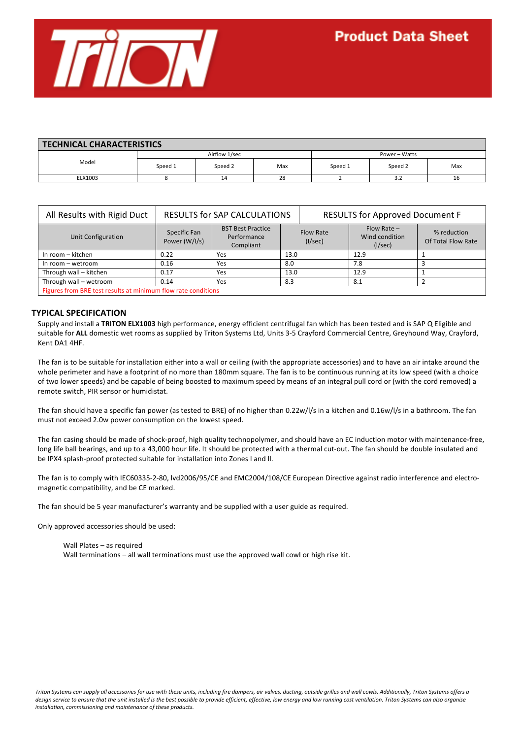

| <b>TECHNICAL CHARACTERISTICS</b> |               |         |     |               |         |     |  |  |  |
|----------------------------------|---------------|---------|-----|---------------|---------|-----|--|--|--|
| Model                            | Airflow 1/sec |         |     | Power - Watts |         |     |  |  |  |
|                                  | Speed 1       | Speed 2 | Max | Speed 1       | Speed 2 | Max |  |  |  |
| ELX1003                          |               | 14      | 28  |               | 3.2     | 16  |  |  |  |

| All Results with Rigid Duct                                   | <b>RESULTS for SAP CALCULATIONS</b> |                                                      |      | <b>RESULTS for Approved Document F</b> |                                            |                                   |  |  |  |
|---------------------------------------------------------------|-------------------------------------|------------------------------------------------------|------|----------------------------------------|--------------------------------------------|-----------------------------------|--|--|--|
| Unit Configuration                                            | Specific Fan<br>Power (W/I/s)       | <b>BST Best Practice</b><br>Performance<br>Compliant |      | <b>Flow Rate</b><br>(I/sec)            | $Flow Rate -$<br>Wind condition<br>(1/sec) | % reduction<br>Of Total Flow Rate |  |  |  |
| In room - kitchen                                             | 0.22                                | Yes                                                  | 13.0 |                                        | 12.9                                       |                                   |  |  |  |
| In room - wetroom                                             | 0.16                                | Yes                                                  | 8.0  |                                        | 7.8                                        |                                   |  |  |  |
| Through wall - kitchen                                        | 0.17                                | Yes                                                  | 13.0 |                                        | 12.9                                       |                                   |  |  |  |
| Through wall - wetroom                                        | 0.14                                | Yes                                                  | 8.3  |                                        | 8.1                                        |                                   |  |  |  |
| Figures from BRE test results at minimum flow rate conditions |                                     |                                                      |      |                                        |                                            |                                   |  |  |  |

**TYPICAL!SPECIFICATION**

Supply and install a TRITON ELX1003 high performance, energy efficient centrifugal fan which has been tested and is SAP Q Eligible and suitable for **ALL** domestic wet rooms as supplied by Triton Systems Ltd, Units 3-5 Crayford Commercial Centre, Greyhound Way, Crayford, Kent DA1 4HF.

The fan is to be suitable for installation either into a wall or ceiling (with the appropriate accessories) and to have an air intake around the whole perimeter and have a footprint of no more than 180mm square. The fan is to be continuous running at its low speed (with a choice of two lower speeds) and be capable of being boosted to maximum speed by means of an integral pull cord or (with the cord removed) a remote switch, PIR sensor or humidistat.

The fan should have a specific fan power (as tested to BRE) of no higher than 0.22w/l/s in a kitchen and 0.16w/l/s in a bathroom. The fan must not exceed 2.0w power consumption on the lowest speed.

The fan casing should be made of shock-proof, high quality technopolymer, and should have an EC induction motor with maintenance-free, long life ball bearings, and up to a 43,000 hour life. It should be protected with a thermal cut-out. The fan should be double insulated and be IPX4 splash-proof protected suitable for installation into Zones I and II.

The fan is to comply with IEC60335-2-80, lvd2006/95/CE and EMC2004/108/CE European Directive against radio interference and electromagnetic compatibility, and be CE marked.

The fan should be 5 year manufacturer's warranty and be supplied with a user guide as required.

Only approved accessories should be used:

Wall Plates – as required Wall terminations – all wall terminations must use the approved wall cowl or high rise kit.